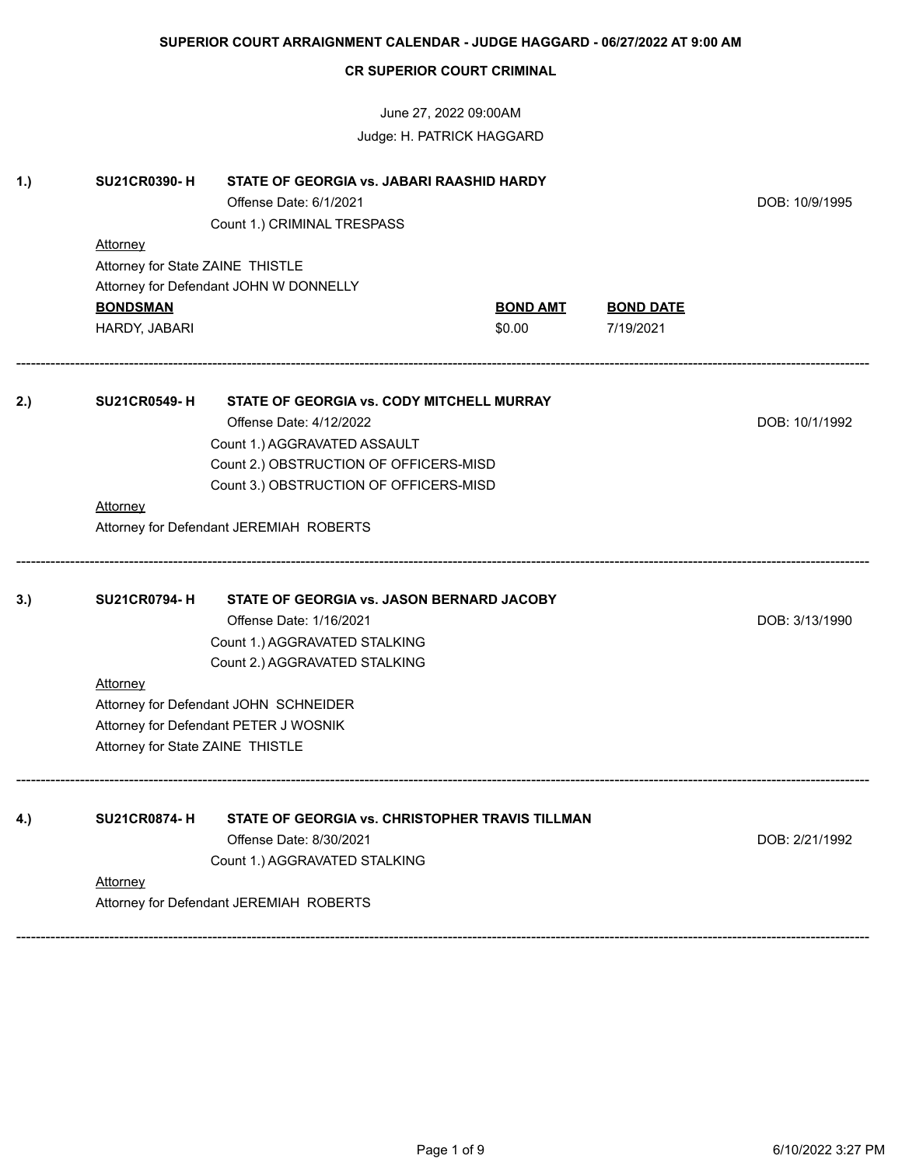|     |                                  | <b>CR SUPERIOR COURT CRIMINAL</b>                                                                  |                 |                  |                |
|-----|----------------------------------|----------------------------------------------------------------------------------------------------|-----------------|------------------|----------------|
|     |                                  | June 27, 2022 09:00AM<br>Judge: H. PATRICK HAGGARD                                                 |                 |                  |                |
| 1.) | <b>SU21CR0390-H</b>              | STATE OF GEORGIA vs. JABARI RAASHID HARDY<br>Offense Date: 6/1/2021<br>Count 1.) CRIMINAL TRESPASS |                 |                  | DOB: 10/9/1995 |
|     | Attorney                         |                                                                                                    |                 |                  |                |
|     | Attorney for State ZAINE THISTLE |                                                                                                    |                 |                  |                |
|     |                                  | Attorney for Defendant JOHN W DONNELLY                                                             |                 |                  |                |
|     | <b>BONDSMAN</b>                  |                                                                                                    | <u>BOND AMT</u> | <b>BOND DATE</b> |                |
|     | HARDY, JABARI                    |                                                                                                    | \$0.00          | 7/19/2021        |                |
| 2.) | <b>SU21CR0549-H</b>              | <b>STATE OF GEORGIA vs. CODY MITCHELL MURRAY</b>                                                   |                 |                  |                |
|     |                                  | Offense Date: 4/12/2022                                                                            |                 |                  | DOB: 10/1/1992 |
|     |                                  | Count 1.) AGGRAVATED ASSAULT                                                                       |                 |                  |                |
|     |                                  | Count 2.) OBSTRUCTION OF OFFICERS-MISD                                                             |                 |                  |                |
|     |                                  | Count 3.) OBSTRUCTION OF OFFICERS-MISD                                                             |                 |                  |                |
|     | Attorney                         |                                                                                                    |                 |                  |                |
|     |                                  | Attorney for Defendant JEREMIAH ROBERTS                                                            |                 |                  |                |
| 3.) | <b>SU21CR0794-H</b>              | <b>STATE OF GEORGIA vs. JASON BERNARD JACOBY</b>                                                   |                 |                  |                |
|     |                                  | Offense Date: 1/16/2021                                                                            |                 |                  | DOB: 3/13/1990 |
|     |                                  | Count 1.) AGGRAVATED STALKING                                                                      |                 |                  |                |
|     |                                  | Count 2.) AGGRAVATED STALKING                                                                      |                 |                  |                |
|     | <b>Attorney</b>                  |                                                                                                    |                 |                  |                |
|     |                                  | Attorney for Defendant JOHN SCHNEIDER                                                              |                 |                  |                |
|     |                                  | Attorney for Defendant PETER J WOSNIK                                                              |                 |                  |                |
|     | Attorney for State ZAINE THISTLE |                                                                                                    |                 |                  |                |
| 4.) | <b>SU21CR0874-H</b>              | STATE OF GEORGIA vs. CHRISTOPHER TRAVIS TILLMAN                                                    |                 |                  |                |
|     |                                  | Offense Date: 8/30/2021                                                                            |                 |                  | DOB: 2/21/1992 |
|     |                                  | Count 1.) AGGRAVATED STALKING                                                                      |                 |                  |                |
|     | Attorney                         | Attorney for Defendant JEREMIAH ROBERTS                                                            |                 |                  |                |
|     |                                  |                                                                                                    |                 |                  |                |

**SUPERIOR COURT ARRAIGNMENT CALENDAR - JUDGE HAGGARD - 06/27/2022 AT 9:00 AM**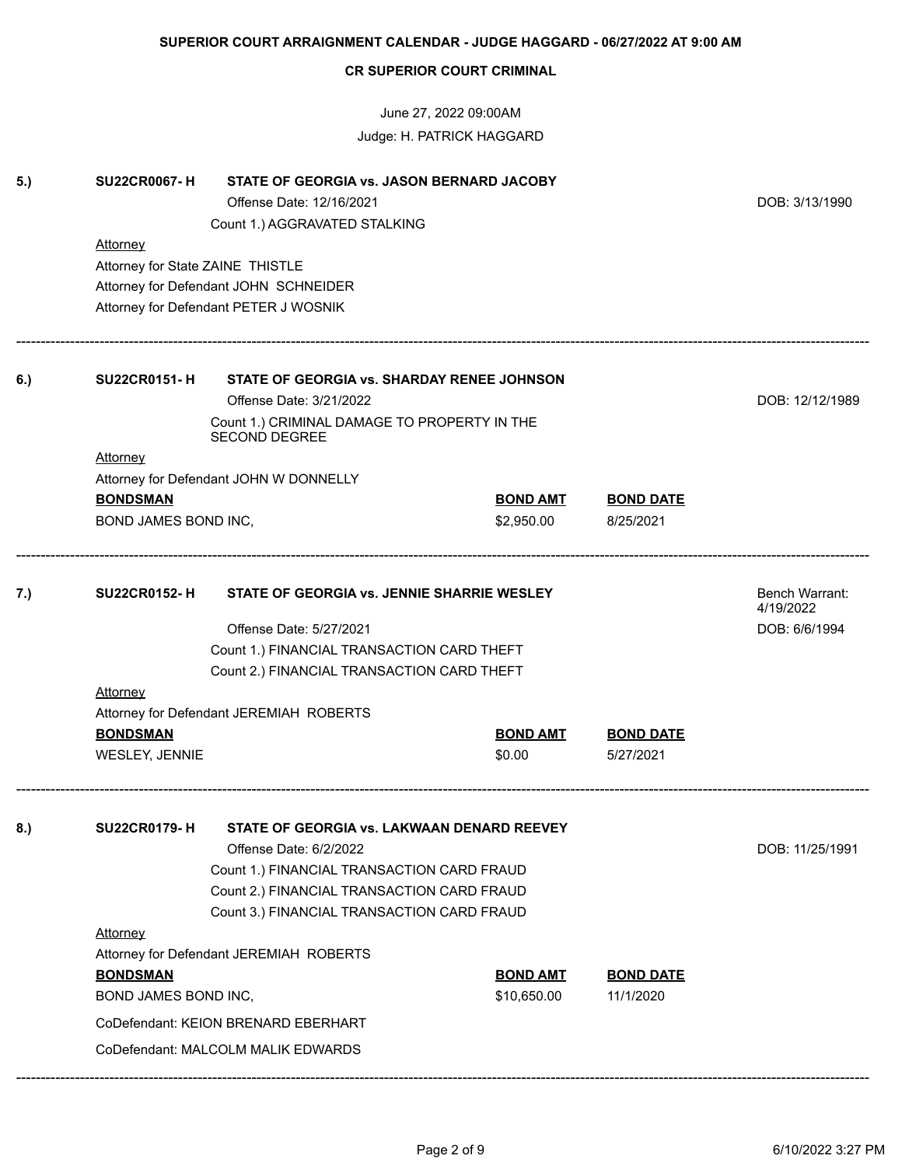|     |                                  |                                                               | Judge: H. PATRICK HAGGARD           |                  |                 |  |  |
|-----|----------------------------------|---------------------------------------------------------------|-------------------------------------|------------------|-----------------|--|--|
| 5.) | <b>SU22CR0067-H</b>              | STATE OF GEORGIA vs. JASON BERNARD JACOBY                     |                                     |                  |                 |  |  |
|     |                                  | Offense Date: 12/16/2021                                      |                                     |                  | DOB: 3/13/1990  |  |  |
|     |                                  | Count 1.) AGGRAVATED STALKING                                 |                                     |                  |                 |  |  |
|     | Attorney                         |                                                               |                                     |                  |                 |  |  |
|     | Attorney for State ZAINE THISTLE |                                                               |                                     |                  |                 |  |  |
|     |                                  | Attorney for Defendant JOHN SCHNEIDER                         |                                     |                  |                 |  |  |
|     |                                  | Attorney for Defendant PETER J WOSNIK                         |                                     |                  |                 |  |  |
| 6.) | <b>SU22CR0151-H</b>              | STATE OF GEORGIA vs. SHARDAY RENEE JOHNSON                    |                                     |                  |                 |  |  |
|     |                                  | Offense Date: 3/21/2022                                       |                                     |                  | DOB: 12/12/1989 |  |  |
|     |                                  | Count 1.) CRIMINAL DAMAGE TO PROPERTY IN THE<br>SECOND DEGREE |                                     |                  |                 |  |  |
|     | Attorney                         |                                                               |                                     |                  |                 |  |  |
|     |                                  | Attorney for Defendant JOHN W DONNELLY                        |                                     |                  |                 |  |  |
|     | <b>BONDSMAN</b>                  |                                                               | <b>BOND AMT</b><br><b>BOND DATE</b> |                  |                 |  |  |
|     | BOND JAMES BOND INC,             |                                                               | \$2,950.00                          | 8/25/2021        |                 |  |  |
| 7.) | <b>SU22CR0152-H</b>              | STATE OF GEORGIA vs. JENNIE SHARRIE WESLEY                    |                                     |                  |                 |  |  |
|     |                                  | Offense Date: 5/27/2021                                       |                                     |                  | DOB: 6/6/1994   |  |  |
|     |                                  | Count 1.) FINANCIAL TRANSACTION CARD THEFT                    |                                     |                  |                 |  |  |
|     |                                  | Count 2.) FINANCIAL TRANSACTION CARD THEFT                    |                                     |                  |                 |  |  |
|     | <b>Attorney</b>                  |                                                               |                                     |                  |                 |  |  |
|     |                                  | Attorney for Defendant JEREMIAH ROBERTS                       |                                     |                  |                 |  |  |
|     | <b>BONDSMAN</b>                  |                                                               | <b>BOND AMT</b>                     | <b>BOND DATE</b> |                 |  |  |
|     | WESLEY, JENNIE                   |                                                               | \$0.00                              | 5/27/2021        |                 |  |  |
| 8.) | <b>SU22CR0179-H</b>              | STATE OF GEORGIA vs. LAKWAAN DENARD REEVEY                    |                                     |                  |                 |  |  |
|     |                                  | Offense Date: 6/2/2022                                        |                                     |                  |                 |  |  |
|     |                                  | Count 1.) FINANCIAL TRANSACTION CARD FRAUD                    |                                     |                  |                 |  |  |
|     |                                  | Count 2.) FINANCIAL TRANSACTION CARD FRAUD                    |                                     |                  |                 |  |  |
|     |                                  | Count 3.) FINANCIAL TRANSACTION CARD FRAUD                    |                                     |                  |                 |  |  |
|     | Attorney                         |                                                               |                                     |                  |                 |  |  |
|     |                                  | Attorney for Defendant JEREMIAH ROBERTS                       |                                     |                  |                 |  |  |
|     | <b>BONDSMAN</b>                  |                                                               | <b>BOND AMT</b>                     | <b>BOND DATE</b> |                 |  |  |
|     | BOND JAMES BOND INC,             |                                                               | \$10,650.00                         | 11/1/2020        |                 |  |  |
|     |                                  | CoDefendant: KEION BRENARD EBERHART                           |                                     |                  |                 |  |  |
|     |                                  |                                                               |                                     |                  |                 |  |  |
|     |                                  | CoDefendant: MALCOLM MALIK EDWARDS                            |                                     |                  |                 |  |  |

**SUPERIOR COURT ARRAIGNMENT CALENDAR - JUDGE HAGGARD - 06/27/2022 AT 9:00 AM**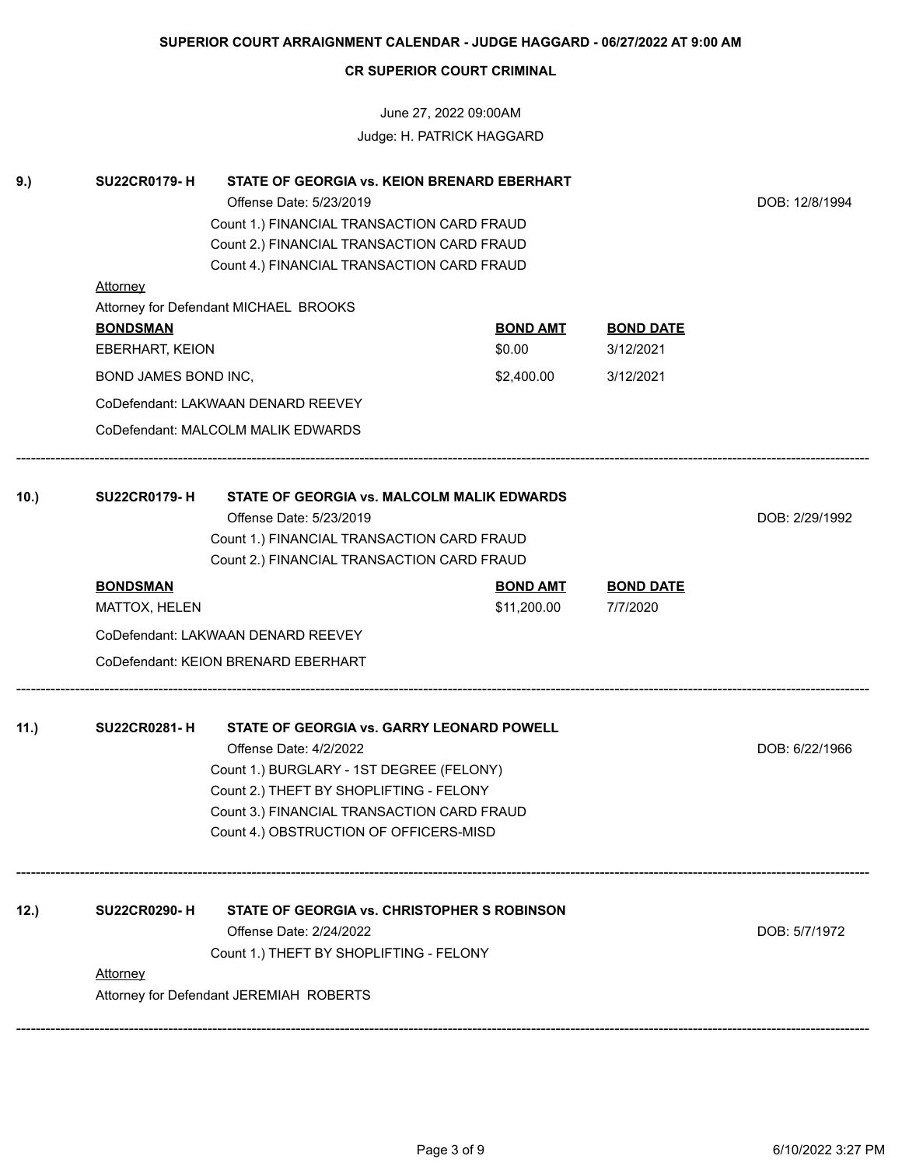June 27, 2022 09:00AM Judge: H. PATRICK HAGGARD

| 9.)  | <b>SU22CR0179-H</b><br><b>Attorney</b>                                             | DOB: 12/8/1994                                                                                                                                                                                                                                     |                           |                               |                |
|------|------------------------------------------------------------------------------------|----------------------------------------------------------------------------------------------------------------------------------------------------------------------------------------------------------------------------------------------------|---------------------------|-------------------------------|----------------|
|      | Attorney for Defendant MICHAEL BROOKS<br><b>BONDSMAN</b><br><b>EBERHART, KEION</b> |                                                                                                                                                                                                                                                    | <b>BOND AMT</b><br>\$0.00 | <b>BOND DATE</b><br>3/12/2021 |                |
|      | BOND JAMES BOND INC,                                                               |                                                                                                                                                                                                                                                    | \$2,400.00                | 3/12/2021                     |                |
|      |                                                                                    | CoDefendant: LAKWAAN DENARD REEVEY                                                                                                                                                                                                                 |                           |                               |                |
|      |                                                                                    | CoDefendant: MALCOLM MALIK EDWARDS                                                                                                                                                                                                                 |                           |                               |                |
| 10.) | <b>SU22CR0179-H</b>                                                                | STATE OF GEORGIA vs. MALCOLM MALIK EDWARDS<br>Offense Date: 5/23/2019<br>Count 1.) FINANCIAL TRANSACTION CARD FRAUD<br>Count 2.) FINANCIAL TRANSACTION CARD FRAUD                                                                                  |                           |                               | DOB: 2/29/1992 |
|      | <b>BONDSMAN</b>                                                                    |                                                                                                                                                                                                                                                    | <b>BOND AMT</b>           | <b>BOND DATE</b>              |                |
|      | MATTOX, HELEN                                                                      |                                                                                                                                                                                                                                                    | \$11,200.00               | 7/7/2020                      |                |
|      |                                                                                    | CoDefendant: LAKWAAN DENARD REEVEY                                                                                                                                                                                                                 |                           |                               |                |
|      |                                                                                    | CoDefendant: KEION BRENARD EBERHART                                                                                                                                                                                                                |                           |                               |                |
| 11.) | <b>SU22CR0281-H</b>                                                                | STATE OF GEORGIA vs. GARRY LEONARD POWELL<br>Offense Date: 4/2/2022<br>Count 1.) BURGLARY - 1ST DEGREE (FELONY)<br>Count 2.) THEFT BY SHOPLIFTING - FELONY<br>Count 3.) FINANCIAL TRANSACTION CARD FRAUD<br>Count 4.) OBSTRUCTION OF OFFICERS-MISD |                           |                               | DOB: 6/22/1966 |
| 12.) | <b>SU22CR0290-H</b><br><b>Attorney</b>                                             | STATE OF GEORGIA vs. CHRISTOPHER S ROBINSON<br>Offense Date: 2/24/2022<br>Count 1.) THEFT BY SHOPLIFTING - FELONY<br>Attorney for Defendant JEREMIAH ROBERTS                                                                                       |                           |                               | DOB: 5/7/1972  |
|      |                                                                                    |                                                                                                                                                                                                                                                    |                           |                               |                |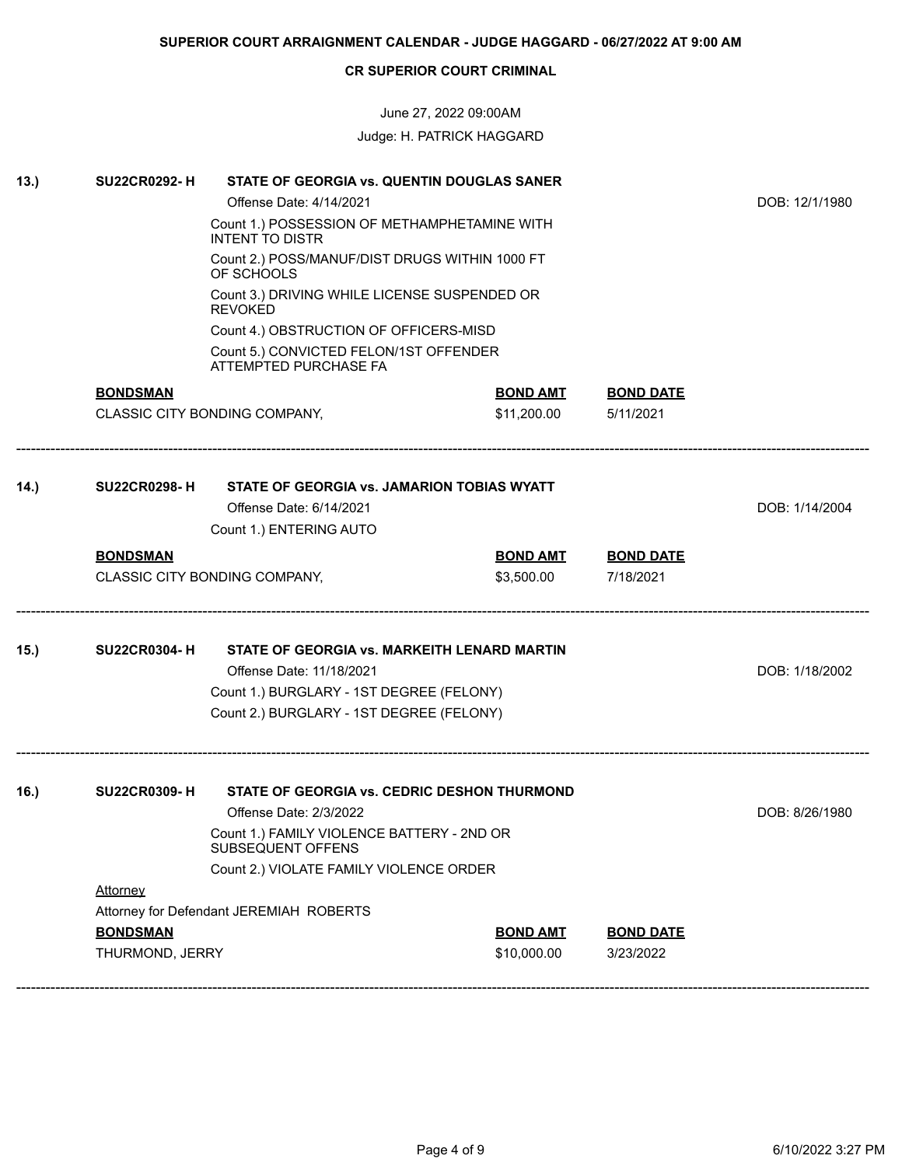# June 27, 2022 09:00AM Judge: H. PATRICK HAGGARD

| 13.) | <b>SU22CR0292-H</b> | STATE OF GEORGIA vs. QUENTIN DOUGLAS SANER                             |                 |                  |                |
|------|---------------------|------------------------------------------------------------------------|-----------------|------------------|----------------|
|      |                     | Offense Date: 4/14/2021                                                |                 |                  | DOB: 12/1/1980 |
|      |                     | Count 1.) POSSESSION OF METHAMPHETAMINE WITH<br><b>INTENT TO DISTR</b> |                 |                  |                |
|      |                     | Count 2.) POSS/MANUF/DIST DRUGS WITHIN 1000 FT<br>OF SCHOOLS           |                 |                  |                |
|      |                     | Count 3.) DRIVING WHILE LICENSE SUSPENDED OR<br><b>REVOKED</b>         |                 |                  |                |
|      |                     | Count 4.) OBSTRUCTION OF OFFICERS-MISD                                 |                 |                  |                |
|      |                     | Count 5.) CONVICTED FELON/1ST OFFENDER<br>ATTEMPTED PURCHASE FA        |                 |                  |                |
|      | <b>BONDSMAN</b>     |                                                                        | <b>BOND AMT</b> | <b>BOND DATE</b> |                |
|      |                     | CLASSIC CITY BONDING COMPANY,                                          | \$11,200.00     | 5/11/2021        |                |
| 14.) | <b>SU22CR0298-H</b> | STATE OF GEORGIA vs. JAMARION TOBIAS WYATT                             |                 |                  |                |
|      |                     | Offense Date: 6/14/2021                                                |                 |                  | DOB: 1/14/2004 |
|      |                     | Count 1.) ENTERING AUTO                                                |                 |                  |                |
|      | <b>BONDSMAN</b>     |                                                                        | <b>BOND AMT</b> | <b>BOND DATE</b> |                |
|      |                     | CLASSIC CITY BONDING COMPANY,                                          | \$3,500.00      | 7/18/2021        |                |
| 15.) | <b>SU22CR0304-H</b> | STATE OF GEORGIA vs. MARKEITH LENARD MARTIN                            |                 |                  |                |
|      |                     | Offense Date: 11/18/2021                                               |                 |                  | DOB: 1/18/2002 |
|      |                     | Count 1.) BURGLARY - 1ST DEGREE (FELONY)                               |                 |                  |                |
|      |                     | Count 2.) BURGLARY - 1ST DEGREE (FELONY)                               |                 |                  |                |
| 16.) | <b>SU22CR0309-H</b> | STATE OF GEORGIA vs. CEDRIC DESHON THURMOND                            |                 |                  |                |
|      |                     | Offense Date: 2/3/2022                                                 |                 |                  | DOB: 8/26/1980 |
|      |                     | Count 1.) FAMILY VIOLENCE BATTERY - 2ND OR<br>SUBSEQUENT OFFENS        |                 |                  |                |
|      |                     | Count 2.) VIOLATE FAMILY VIOLENCE ORDER                                |                 |                  |                |
|      | <b>Attorney</b>     |                                                                        |                 |                  |                |
|      |                     | Attorney for Defendant JEREMIAH ROBERTS                                |                 |                  |                |
|      | <b>BONDSMAN</b>     |                                                                        | <b>BOND AMT</b> | <b>BOND DATE</b> |                |
|      | THURMOND, JERRY     |                                                                        | \$10,000.00     | 3/23/2022        |                |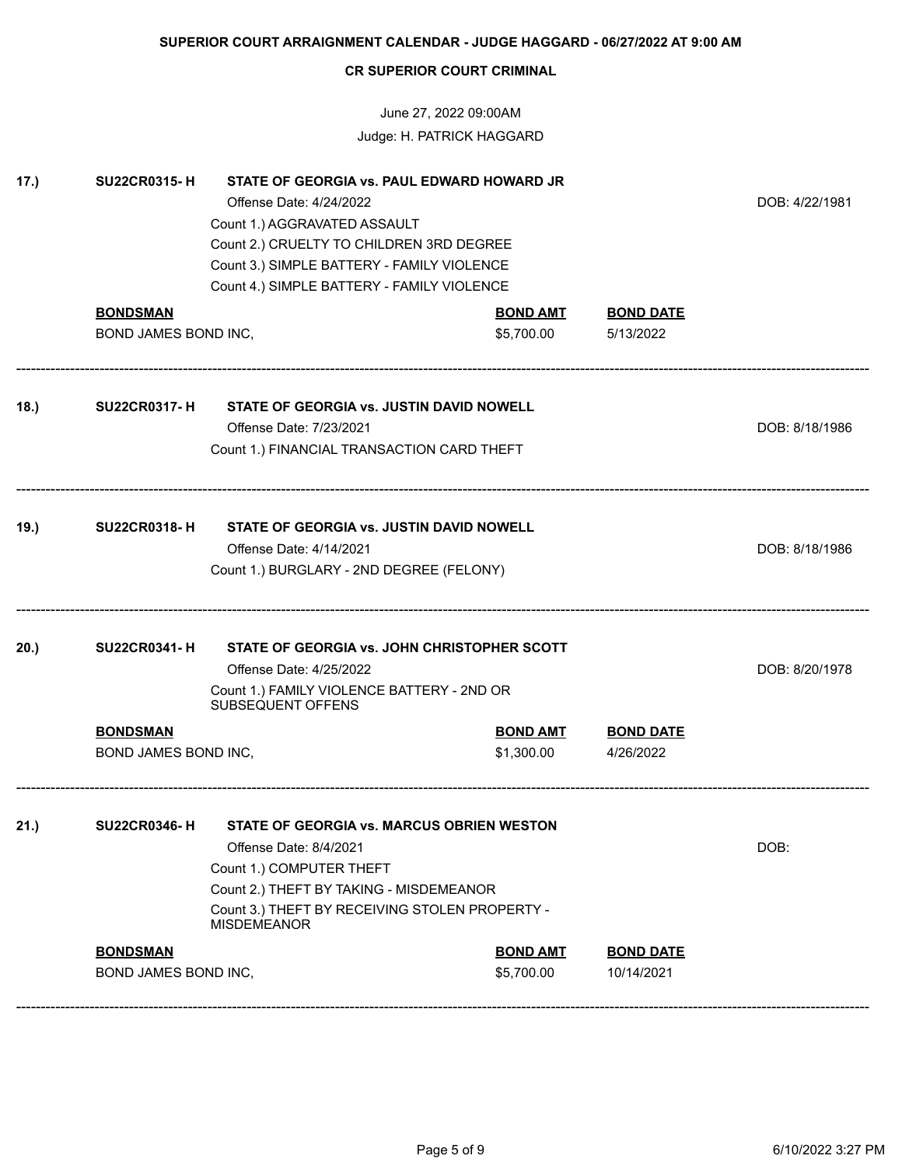# June 27, 2022 09:00AM Judge: H. PATRICK HAGGARD

| 17.) | <b>SU22CR0315-H</b>                     | STATE OF GEORGIA vs. PAUL EDWARD HOWARD JR<br>Offense Date: 4/24/2022<br>Count 1.) AGGRAVATED ASSAULT<br>Count 2.) CRUELTY TO CHILDREN 3RD DEGREE<br>Count 3.) SIMPLE BATTERY - FAMILY VIOLENCE<br>Count 4.) SIMPLE BATTERY - FAMILY VIOLENCE |                               |                                | DOB: 4/22/1981 |
|------|-----------------------------------------|-----------------------------------------------------------------------------------------------------------------------------------------------------------------------------------------------------------------------------------------------|-------------------------------|--------------------------------|----------------|
|      | <b>BONDSMAN</b>                         |                                                                                                                                                                                                                                               | <b>BOND AMT</b>               | <b>BOND DATE</b>               |                |
|      | BOND JAMES BOND INC,                    |                                                                                                                                                                                                                                               | \$5,700.00                    | 5/13/2022                      |                |
| 18.) | <b>SU22CR0317-H</b>                     | STATE OF GEORGIA vs. JUSTIN DAVID NOWELL<br>Offense Date: 7/23/2021<br>Count 1.) FINANCIAL TRANSACTION CARD THEFT                                                                                                                             |                               |                                | DOB: 8/18/1986 |
| 19.) | <b>SU22CR0318-H</b>                     | STATE OF GEORGIA vs. JUSTIN DAVID NOWELL<br>Offense Date: 4/14/2021<br>Count 1.) BURGLARY - 2ND DEGREE (FELONY)                                                                                                                               |                               |                                | DOB: 8/18/1986 |
| 20.) | <b>SU22CR0341-H</b>                     | STATE OF GEORGIA vs. JOHN CHRISTOPHER SCOTT<br>Offense Date: 4/25/2022<br>Count 1.) FAMILY VIOLENCE BATTERY - 2ND OR<br>SUBSEQUENT OFFENS                                                                                                     |                               |                                | DOB: 8/20/1978 |
|      | <b>BONDSMAN</b>                         |                                                                                                                                                                                                                                               | <b>BOND AMT</b>               | <b>BOND DATE</b>               |                |
|      | BOND JAMES BOND INC,                    |                                                                                                                                                                                                                                               | \$1,300.00                    | 4/26/2022                      |                |
| 21.) |                                         | SU22CR0346-H STATE OF GEORGIA vs. MARCUS OBRIEN WESTON<br>Offense Date: 8/4/2021<br>Count 1.) COMPUTER THEFT<br>Count 2.) THEFT BY TAKING - MISDEMEANOR<br>Count 3.) THEFT BY RECEIVING STOLEN PROPERTY -<br><b>MISDEMEANOR</b>               |                               |                                | DOB:           |
|      | <b>BONDSMAN</b><br>BOND JAMES BOND INC, |                                                                                                                                                                                                                                               | <b>BOND AMT</b><br>\$5,700.00 | <b>BOND DATE</b><br>10/14/2021 |                |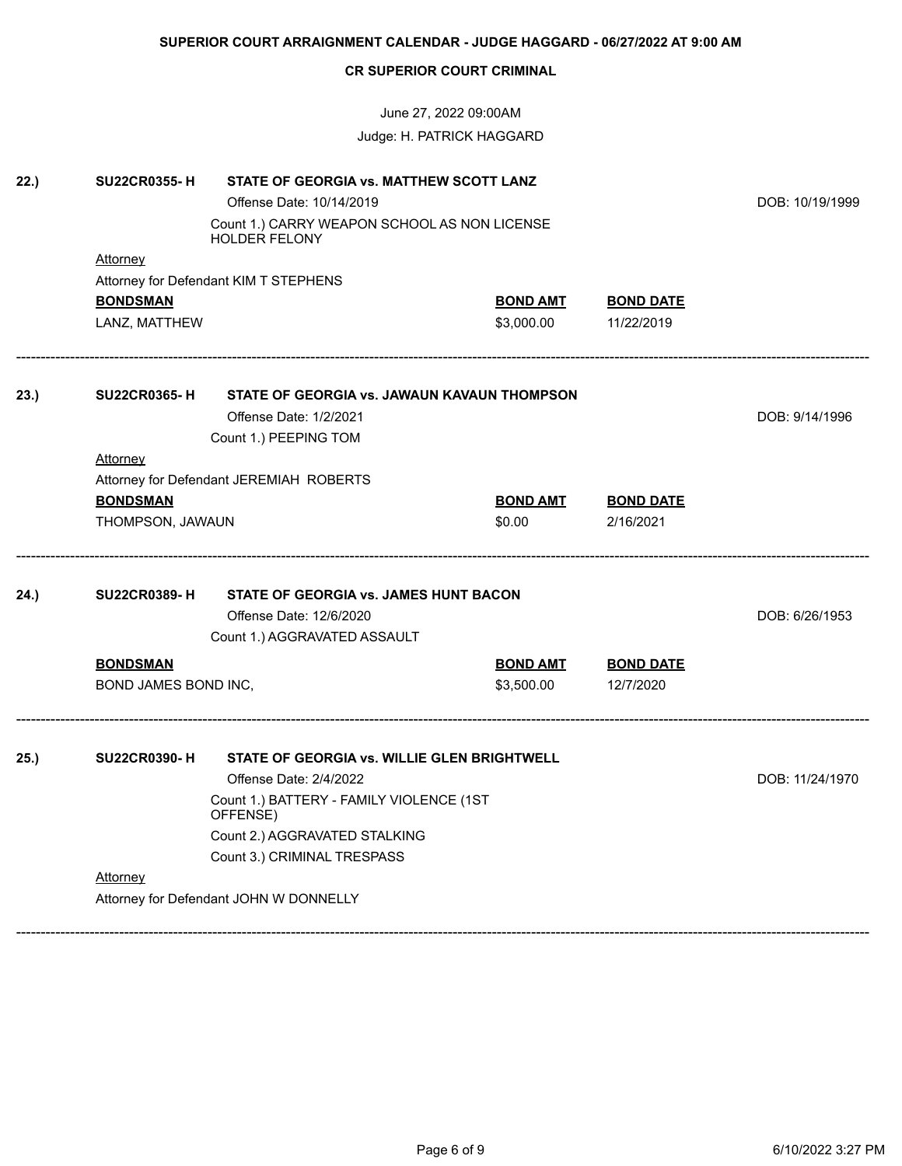|      |                      |                                                                      | Judge: H. PATRICK HAGGARD |                  |                 |
|------|----------------------|----------------------------------------------------------------------|---------------------------|------------------|-----------------|
| 22.) | <b>SU22CR0355-H</b>  | STATE OF GEORGIA vs. MATTHEW SCOTT LANZ                              |                           |                  |                 |
|      |                      | Offense Date: 10/14/2019                                             |                           |                  | DOB: 10/19/1999 |
|      |                      | Count 1.) CARRY WEAPON SCHOOL AS NON LICENSE<br><b>HOLDER FELONY</b> |                           |                  |                 |
|      | <b>Attorney</b>      | Attorney for Defendant KIM T STEPHENS                                |                           |                  |                 |
|      | <b>BONDSMAN</b>      |                                                                      | <b>BOND AMT</b>           | <b>BOND DATE</b> |                 |
|      | LANZ, MATTHEW        |                                                                      | \$3,000.00                | 11/22/2019       |                 |
| 23.) | <b>SU22CR0365-H</b>  | STATE OF GEORGIA vs. JAWAUN KAVAUN THOMPSON                          |                           |                  |                 |
|      |                      | Offense Date: 1/2/2021                                               |                           |                  | DOB: 9/14/1996  |
|      |                      | Count 1.) PEEPING TOM                                                |                           |                  |                 |
|      | <b>Attorney</b>      |                                                                      |                           |                  |                 |
|      |                      | Attorney for Defendant JEREMIAH ROBERTS                              |                           |                  |                 |
|      | <b>BONDSMAN</b>      |                                                                      | <b>BOND AMT</b>           | <b>BOND DATE</b> |                 |
|      | THOMPSON, JAWAUN     |                                                                      | \$0.00                    | 2/16/2021        |                 |
| 24.) | <b>SU22CR0389-H</b>  |                                                                      |                           |                  |                 |
|      |                      | Offense Date: 12/6/2020                                              |                           |                  | DOB: 6/26/1953  |
|      |                      | Count 1.) AGGRAVATED ASSAULT                                         |                           |                  |                 |
|      | <b>BONDSMAN</b>      |                                                                      | <b>BOND AMT</b>           | <b>BOND DATE</b> |                 |
|      | BOND JAMES BOND INC, |                                                                      | \$3,500.00                | 12/7/2020        |                 |
| 25.) | <b>SU22CR0390-H</b>  | STATE OF GEORGIA vs. WILLIE GLEN BRIGHTWELL                          |                           |                  |                 |
|      |                      | Offense Date: 2/4/2022                                               |                           |                  | DOB: 11/24/1970 |
|      |                      |                                                                      |                           |                  |                 |
|      |                      | Count 2.) AGGRAVATED STALKING                                        |                           |                  |                 |
|      |                      | Count 3.) CRIMINAL TRESPASS                                          |                           |                  |                 |
|      | Attorney             |                                                                      |                           |                  |                 |
|      |                      | Attorney for Defendant JOHN W DONNELLY                               |                           |                  |                 |
|      |                      |                                                                      |                           |                  |                 |

**SUPERIOR COURT ARRAIGNMENT CALENDAR - JUDGE HAGGARD - 06/27/2022 AT 9:00 AM**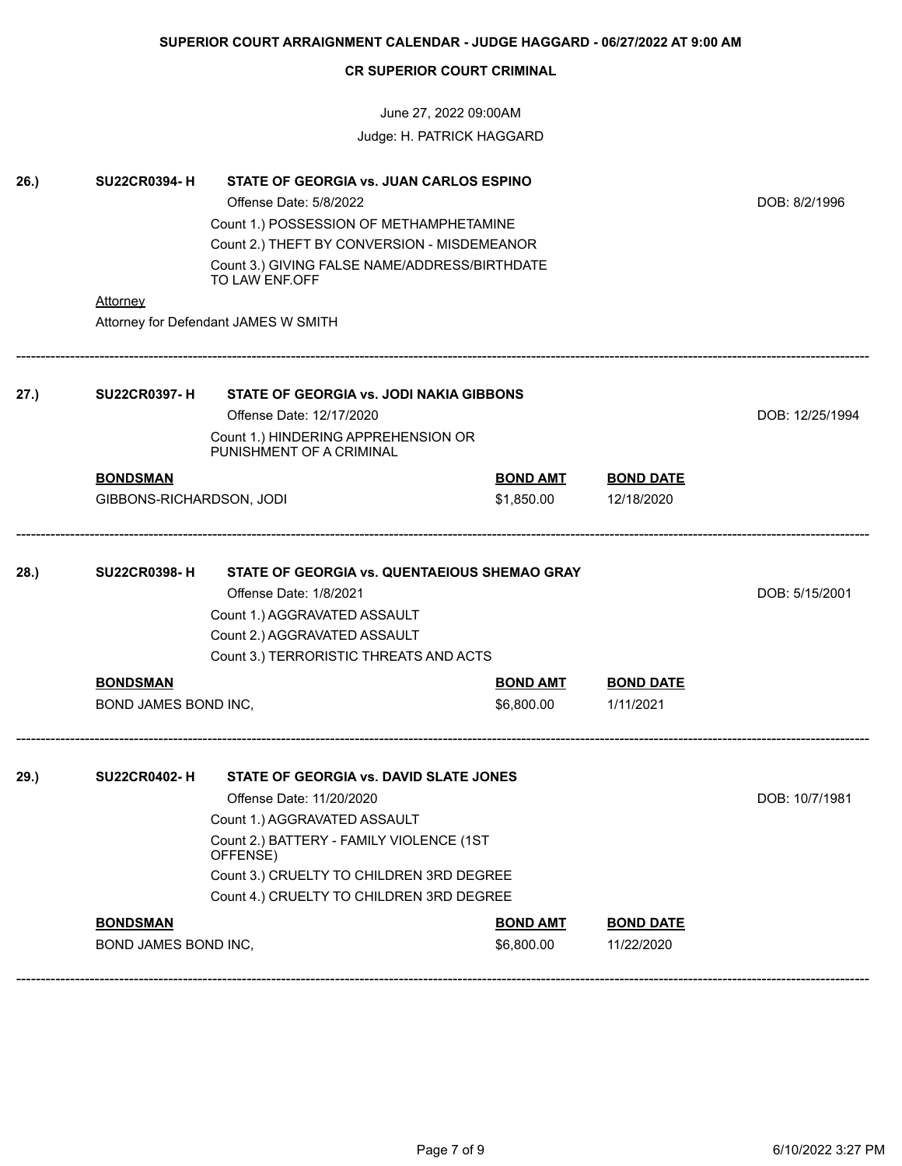# June 27, 2022 09:00AM Judge: H. PATRICK HAGGARD

| 26.) | <b>SU22CR0394-H</b><br>Attorney             | STATE OF GEORGIA vs. JUAN CARLOS ESPINO<br>Offense Date: 5/8/2022<br>Count 1.) POSSESSION OF METHAMPHETAMINE<br>Count 2.) THEFT BY CONVERSION - MISDEMEANOR<br>Count 3.) GIVING FALSE NAME/ADDRESS/BIRTHDATE<br>TO LAW ENF.OFF                     |                               |                                | DOB: 8/2/1996   |
|------|---------------------------------------------|----------------------------------------------------------------------------------------------------------------------------------------------------------------------------------------------------------------------------------------------------|-------------------------------|--------------------------------|-----------------|
|      |                                             | Attorney for Defendant JAMES W SMITH                                                                                                                                                                                                               |                               |                                |                 |
| 27.) | <b>SU22CR0397-H</b>                         | STATE OF GEORGIA vs. JODI NAKIA GIBBONS<br>Offense Date: 12/17/2020<br>Count 1.) HINDERING APPREHENSION OR<br>PUNISHMENT OF A CRIMINAL                                                                                                             |                               |                                | DOB: 12/25/1994 |
|      | <b>BONDSMAN</b><br>GIBBONS-RICHARDSON, JODI |                                                                                                                                                                                                                                                    | <b>BOND AMT</b><br>\$1,850.00 | <b>BOND DATE</b><br>12/18/2020 |                 |
| 28.) | <b>SU22CR0398-H</b>                         | STATE OF GEORGIA vs. QUENTAEIOUS SHEMAO GRAY<br>Offense Date: 1/8/2021<br>Count 1.) AGGRAVATED ASSAULT<br>Count 2.) AGGRAVATED ASSAULT<br>Count 3.) TERRORISTIC THREATS AND ACTS                                                                   |                               |                                | DOB: 5/15/2001  |
|      | <b>BONDSMAN</b><br>BOND JAMES BOND INC,     |                                                                                                                                                                                                                                                    | <b>BOND AMT</b><br>\$6,800.00 | <b>BOND DATE</b><br>1/11/2021  |                 |
| 29.) | <b>SU22CR0402-H</b>                         | STATE OF GEORGIA vs. DAVID SLATE JONES<br>Offense Date: 11/20/2020<br>Count 1.) AGGRAVATED ASSAULT<br>Count 2.) BATTERY - FAMILY VIOLENCE (1ST<br>OFFENSE)<br>Count 3.) CRUELTY TO CHILDREN 3RD DEGREE<br>Count 4.) CRUELTY TO CHILDREN 3RD DEGREE |                               |                                | DOB: 10/7/1981  |
|      | <b>BONDSMAN</b><br>BOND JAMES BOND INC,     |                                                                                                                                                                                                                                                    | <b>BOND AMT</b><br>\$6,800.00 | <b>BOND DATE</b><br>11/22/2020 |                 |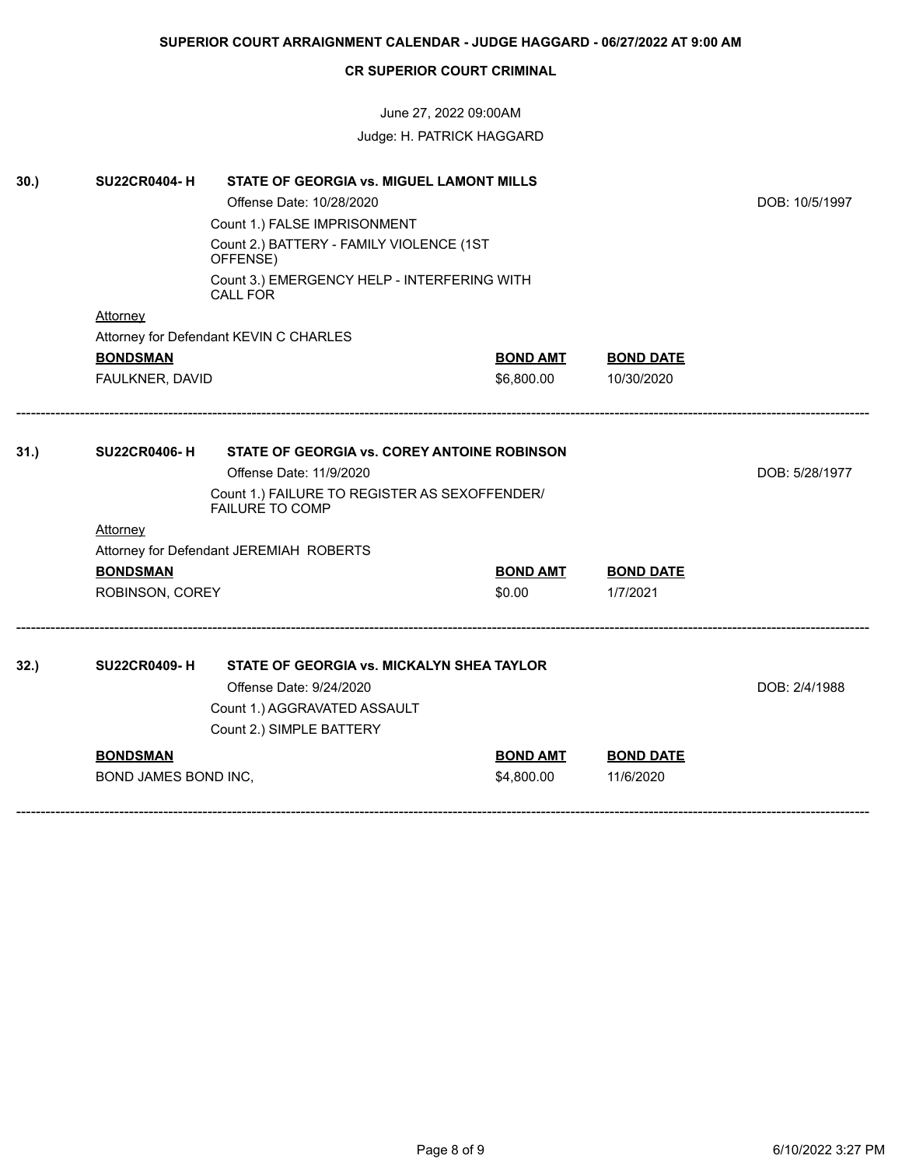# June 27, 2022 09:00AM Judge: H. PATRICK HAGGARD

| 30.) | <b>SU22CR0404-H</b>  |                                                                               |                 |                  |                |
|------|----------------------|-------------------------------------------------------------------------------|-----------------|------------------|----------------|
|      |                      | Offense Date: 10/28/2020                                                      |                 |                  | DOB: 10/5/1997 |
|      |                      | Count 1.) FALSE IMPRISONMENT                                                  |                 |                  |                |
|      |                      | Count 2.) BATTERY - FAMILY VIOLENCE (1ST<br>OFFENSE)                          |                 |                  |                |
|      |                      | Count 3.) EMERGENCY HELP - INTERFERING WITH<br><b>CALL FOR</b>                |                 |                  |                |
|      | Attorney             |                                                                               |                 |                  |                |
|      |                      | Attorney for Defendant KEVIN C CHARLES                                        |                 |                  |                |
|      | <b>BONDSMAN</b>      |                                                                               | <b>BOND AMT</b> | <b>BOND DATE</b> |                |
|      | FAULKNER, DAVID      |                                                                               | \$6,800.00      | 10/30/2020       |                |
|      |                      |                                                                               |                 |                  |                |
| 31.) | <b>SU22CR0406-H</b>  | <b>STATE OF GEORGIA vs. COREY ANTOINE ROBINSON</b><br>Offense Date: 11/9/2020 |                 |                  | DOB: 5/28/1977 |
|      |                      | Count 1.) FAILURE TO REGISTER AS SEXOFFENDER/<br><b>FAILURE TO COMP</b>       |                 |                  |                |
|      | Attorney             |                                                                               |                 |                  |                |
|      |                      | Attorney for Defendant JEREMIAH ROBERTS                                       |                 |                  |                |
|      | <b>BONDSMAN</b>      |                                                                               | <b>BOND AMT</b> | <b>BOND DATE</b> |                |
|      | ROBINSON, COREY      |                                                                               | \$0.00          | 1/7/2021         |                |
|      |                      |                                                                               |                 |                  |                |
| 32.) | <b>SU22CR0409-H</b>  | STATE OF GEORGIA vs. MICKALYN SHEA TAYLOR                                     |                 |                  |                |
|      |                      | Offense Date: 9/24/2020                                                       |                 |                  | DOB: 2/4/1988  |
|      |                      | Count 1.) AGGRAVATED ASSAULT                                                  |                 |                  |                |
|      |                      | Count 2.) SIMPLE BATTERY                                                      |                 |                  |                |
|      | <b>BONDSMAN</b>      |                                                                               | <b>BOND AMT</b> | <b>BOND DATE</b> |                |
|      | BOND JAMES BOND INC, |                                                                               | \$4,800.00      | 11/6/2020        |                |
|      |                      |                                                                               |                 |                  |                |